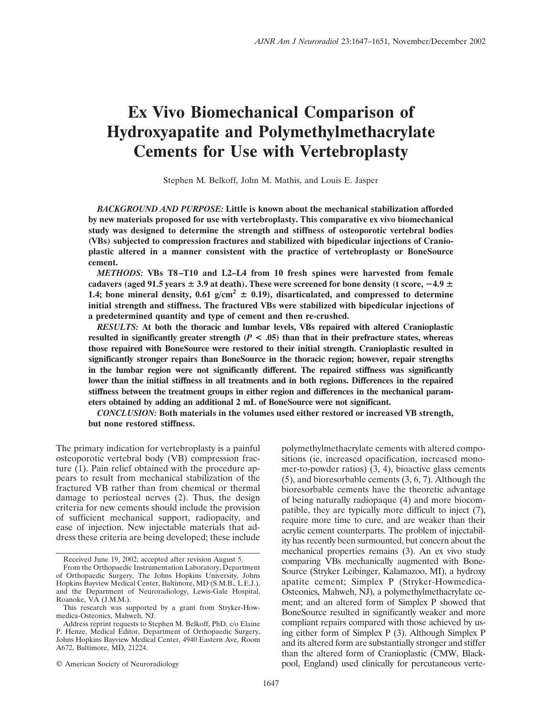# **Ex Vivo Biomechanical Comparison of Hydroxyapatite and Polymethylmethacrylate Cements for Use with Vertebroplasty**

Stephen M. Belkoff, John M. Mathis, and Louis E. Jasper

*BACKGROUND AND PURPOSE:* **Little is known about the mechanical stabilization afforded by new materials proposed for use with vertebroplasty. This comparative ex vivo biomechanical study was designed to determine the strength and stiffness of osteoporotic vertebral bodies (VBs) subjected to compression fractures and stabilized with bipedicular injections of Cranioplastic altered in a manner consistent with the practice of vertebroplasty or BoneSource cement.**

*METHODS:* **VBs T8–T10 and L2–L4 from 10 fresh spines were harvested from female** cadavers (aged 91.5 years  $\pm$  3.9 at death). These were screened for bone density (t score,  $-4.9\pm$ **1.4;** bone mineral density,  $0.61 \text{ g/cm}^2 \pm 0.19$ , disarticulated, and compressed to determine **initial strength and stiffness. The fractured VBs were stabilized with bipedicular injections of a predetermined quantity and type of cement and then re-crushed.**

*RESULTS:* **At both the thoracic and lumbar levels, VBs repaired with altered Cranioplastic resulted in significantly greater strength**  $(P < .05)$  **than that in their prefracture states, whereas those repaired with BoneSource were restored to their initial strength. Cranioplastic resulted in significantly stronger repairs than BoneSource in the thoracic region; however, repair strengths in the lumbar region were not significantly different. The repaired stiffness was significantly lower than the initial stiffness in all treatments and in both regions. Differences in the repaired stiffness between the treatment groups in either region and differences in the mechanical parameters obtained by adding an additional 2 mL of BoneSource were not significant.**

*CONCLUSION:* **Both materials in the volumes used either restored or increased VB strength, but none restored stiffness.**

The primary indication for vertebroplasty is a painful osteoporotic vertebral body (VB) compression fracture (1). Pain relief obtained with the procedure appears to result from mechanical stabilization of the fractured VB rather than from chemical or thermal damage to periosteal nerves (2). Thus, the design criteria for new cements should include the provision of sufficient mechanical support, radiopacity, and ease of injection. New injectable materials that address these criteria are being developed; these include

polymethylmethacrylate cements with altered compositions (ie, increased opacification, increased monomer-to-powder ratios) (3, 4), bioactive glass cements (5), and bioresorbable cements (3, 6, 7). Although the bioresorbable cements have the theoretic advantage of being naturally radiopaque (4) and more biocompatible, they are typically more difficult to inject (7), require more time to cure, and are weaker than their acrylic cement counterparts. The problem of injectability has recently been surmounted, but concern about the mechanical properties remains (3). An ex vivo study comparing VBs mechanically augmented with Bone-Source (Stryker Leibinger, Kalamazoo, MI), a hydroxy apatite cement; Simplex P (Stryker-Howmedica-Osteonics, Mahweh, NJ), a polymethylmethacrylate cement; and an altered form of Simplex P showed that BoneSource resulted in significantly weaker and more compliant repairs compared with those achieved by using either form of Simplex P (3). Although Simplex P and its altered form are substantially stronger and stiffer than the altered form of Cranioplastic (CMW, Blackpool, England) used clinically for percutaneous verte-

Received June 19, 2002; accepted after revision August 5.

From the Orthopaedic Instrumentation Laboratory, Department of Orthopaedic Surgery, The Johns Hopkins University, Johns Hopkins Bayview Medical Center, Baltimore, MD (S.M.B., L.E.J.), and the Department of Neuroradiology, Lewis-Gale Hospital, Roanoke, VA (J.M.M.).

This research was supported by a grant from Stryker-Howmedica-Osteonics, Mahweh, NJ.

Address reprint requests to Stephen M. Belkoff, PhD, c/o Elaine P. Henze, Medical Editor, Department of Orthopaedic Surgery, Johns Hopkins Bayview Medical Center, 4940 Eastern Ave, Room A672, Baltimore, MD, 21224.

<sup>©</sup> American Society of Neuroradiology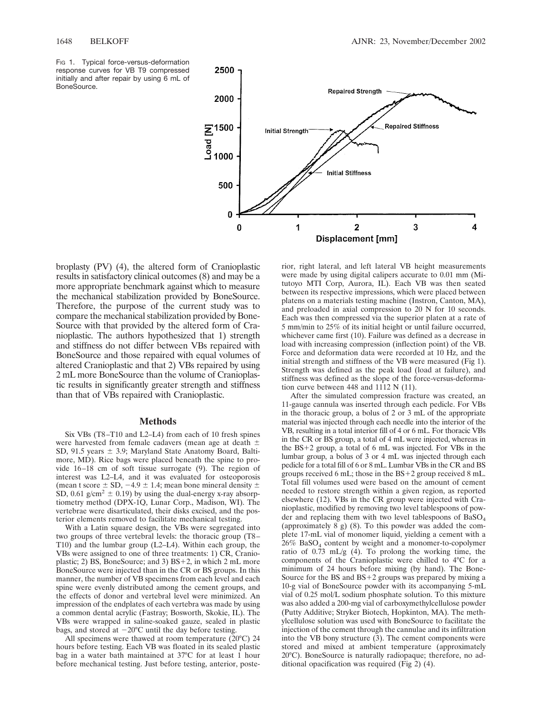BoneSource.

3

4



1

0

 $\Omega$ 

broplasty (PV) (4), the altered form of Cranioplastic results in satisfactory clinical outcomes (8) and may be a more appropriate benchmark against which to measure the mechanical stabilization provided by BoneSource. Therefore, the purpose of the current study was to compare the mechanical stabilization provided by Bone-Source with that provided by the altered form of Cranioplastic. The authors hypothesized that 1) strength and stiffness do not differ between VBs repaired with BoneSource and those repaired with equal volumes of altered Cranioplastic and that 2) VBs repaired by using 2 mL more BoneSource than the volume of Cranioplastic results in significantly greater strength and stiffness than that of VBs repaired with Cranioplastic.

#### **Methods**

Six VBs (T8–T10 and L2–L4) from each of 10 fresh spines were harvested from female cadavers (mean age at death  $\pm$ SD, 91.5 years  $\pm$  3.9; Maryland State Anatomy Board, Baltimore, MD). Rice bags were placed beneath the spine to provide 16–18 cm of soft tissue surrogate (9). The region of interest was L2–L4, and it was evaluated for osteoporosis (mean t score  $\pm$  SD,  $-4.9 \pm 1.4$ ; mean bone mineral density  $\pm$ SD, 0.61 g/cm<sup>2</sup>  $\pm$  0.19) by using the dual-energy x-ray absorptiometry method (DPX-1Q, Lunar Corp., Madison, WI). The vertebrae were disarticulated, their disks excised, and the posterior elements removed to facilitate mechanical testing.

With a Latin square design, the VBs were segregated into two groups of three vertebral levels: the thoracic group (T8– T10) and the lumbar group (L2–L4). Within each group, the VBs were assigned to one of three treatments: 1) CR, Cranioplastic; 2) BS, BoneSource; and 3)  $BS+2$ , in which 2 mL more BoneSource were injected than in the CR or BS groups. In this manner, the number of VB specimens from each level and each spine were evenly distributed among the cement groups, and the effects of donor and vertebral level were minimized. An impression of the endplates of each vertebra was made by using a common dental acrylic (Fastray; Bosworth, Skokie, IL). The VBs were wrapped in saline-soaked gauze, sealed in plastic bags, and stored at  $-20^{\circ}$ C until the day before testing.

All specimens were thawed at room temperature (20°C) 24 hours before testing. Each VB was floated in its sealed plastic bag in a water bath maintained at  $37^{\circ}$ C for at least 1 hour before mechanical testing. Just before testing, anterior, poste-

rior, right lateral, and left lateral VB height measurements were made by using digital calipers accurate to 0.01 mm (Mitutoyo MTI Corp, Aurora, IL). Each VB was then seated between its respective impressions, which were placed between platens on a materials testing machine (Instron, Canton, MA), and preloaded in axial compression to 20 N for 10 seconds. Each was then compressed via the superior platen at a rate of 5 mm/min to 25% of its initial height or until failure occurred, whichever came first (10). Failure was defined as a decrease in load with increasing compression (inflection point) of the VB. Force and deformation data were recorded at 10 Hz, and the initial strength and stiffness of the VB were measured (Fig 1). Strength was defined as the peak load (load at failure), and stiffness was defined as the slope of the force-versus-deformation curve between 448 and 1112 N (11).

 $\overline{2}$ 

Displacement [mm]

After the simulated compression fracture was created, an 11-gauge cannula was inserted through each pedicle. For VBs in the thoracic group, a bolus of 2 or 3 mL of the appropriate material was injected through each needle into the interior of the VB, resulting in a total interior fill of 4 or 6 mL. For thoracic VBs in the CR or BS group, a total of 4 mL were injected, whereas in the  $BS+2$  group, a total of 6 mL was injected. For VBs in the lumbar group, a bolus of 3 or 4 mL was injected through each pedicle for a total fill of 6 or 8 mL. Lumbar VBs in the CR and BS groups received 6 mL; those in the  $BS+2$  group received 8 mL. Total fill volumes used were based on the amount of cement needed to restore strength within a given region, as reported elsewhere (12). VBs in the CR group were injected with Cranioplastic, modified by removing two level tablespoons of powder and replacing them with two level tablespoons of  $BaSO<sub>4</sub>$ (approximately 8 g) (8). To this powder was added the complete 17-mL vial of monomer liquid, yielding a cement with a  $26\%$  BaSO<sub>4</sub> content by weight and a monomer-to-copolymer ratio of 0.73 mL/g (4). To prolong the working time, the components of the Cranioplastic were chilled to 4°C for a minimum of 24 hours before mixing (by hand). The Bone-Source for the BS and  $BS+2$  groups was prepared by mixing a 10-g vial of BoneSource powder with its accompanying 5-mL vial of 0.25 mol/L sodium phosphate solution. To this mixture was also added a 200-mg vial of carboxymethylcellulose powder (Putty Additive; Stryker Biotech, Hopkinton, MA). The methylcellulose solution was used with BoneSource to facilitate the injection of the cement through the cannulae and its infiltration into the VB bony structure (3). The cement components were stored and mixed at ambient temperature (approximately 20°C). BoneSource is naturally radiopaque; therefore, no additional opacification was required (Fig 2) (4).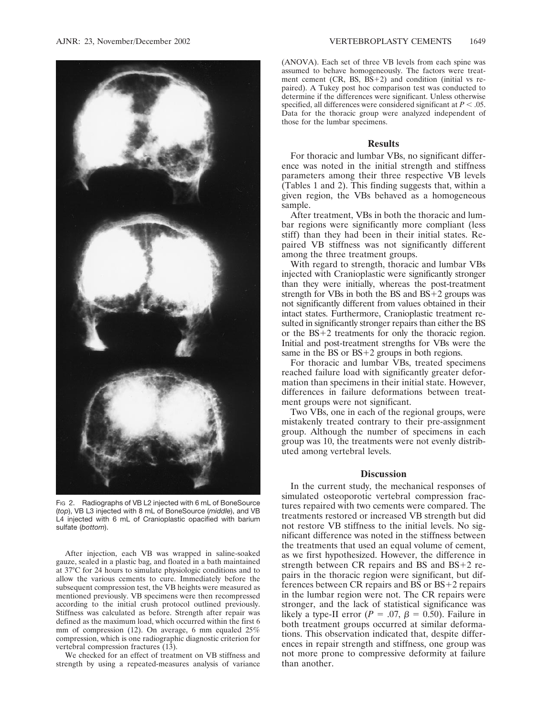

FIG 2. Radiographs of VB L2 injected with 6 mL of BoneSource (*top*), VB L3 injected with 8 mL of BoneSource (*middle*), and VB L4 injected with 6 mL of Cranioplastic opacified with barium sulfate (*bottom*).

After injection, each VB was wrapped in saline-soaked gauze, sealed in a plastic bag, and floated in a bath maintained at 37°C for 24 hours to simulate physiologic conditions and to allow the various cements to cure. Immediately before the subsequent compression test, the VB heights were measured as mentioned previously. VB specimens were then recompressed according to the initial crush protocol outlined previously. Stiffness was calculated as before. Strength after repair was defined as the maximum load, which occurred within the first 6 mm of compression (12). On average, 6 mm equaled 25% compression, which is one radiographic diagnostic criterion for vertebral compression fractures (13).

We checked for an effect of treatment on VB stiffness and strength by using a repeated-measures analysis of variance

(ANOVA). Each set of three VB levels from each spine was assumed to behave homogeneously. The factors were treatment cement  $(CR, BS, BS+2)$  and condition (initial vs repaired). A Tukey post hoc comparison test was conducted to determine if the differences were significant. Unless otherwise specified, all differences were considered significant at  $P < .05$ . Data for the thoracic group were analyzed independent of those for the lumbar specimens.

## **Results**

For thoracic and lumbar VBs, no significant difference was noted in the initial strength and stiffness parameters among their three respective VB levels (Tables 1 and 2). This finding suggests that, within a given region, the VBs behaved as a homogeneous sample.

After treatment, VBs in both the thoracic and lumbar regions were significantly more compliant (less stiff) than they had been in their initial states. Repaired VB stiffness was not significantly different among the three treatment groups.

With regard to strength, thoracic and lumbar VBs injected with Cranioplastic were significantly stronger than they were initially, whereas the post-treatment strength for VBs in both the BS and  $BS+2$  groups was not significantly different from values obtained in their intact states. Furthermore, Cranioplastic treatment resulted in significantly stronger repairs than either the BS or the  $BS+2$  treatments for only the thoracic region. Initial and post-treatment strengths for VBs were the same in the BS or  $BS+2$  groups in both regions.

For thoracic and lumbar VBs, treated specimens reached failure load with significantly greater deformation than specimens in their initial state. However, differences in failure deformations between treatment groups were not significant.

Two VBs, one in each of the regional groups, were mistakenly treated contrary to their pre-assignment group. Although the number of specimens in each group was 10, the treatments were not evenly distributed among vertebral levels.

#### **Discussion**

In the current study, the mechanical responses of simulated osteoporotic vertebral compression fractures repaired with two cements were compared. The treatments restored or increased VB strength but did not restore VB stiffness to the initial levels. No significant difference was noted in the stiffness between the treatments that used an equal volume of cement, as we first hypothesized. However, the difference in strength between CR repairs and BS and  $BS+2$  repairs in the thoracic region were significant, but differences between CR repairs and BS or  $BS + 2$  repairs in the lumbar region were not. The CR repairs were stronger, and the lack of statistical significance was likely a type-II error ( $P = .07$ ,  $\beta = 0.50$ ). Failure in both treatment groups occurred at similar deformations. This observation indicated that, despite differences in repair strength and stiffness, one group was not more prone to compressive deformity at failure than another.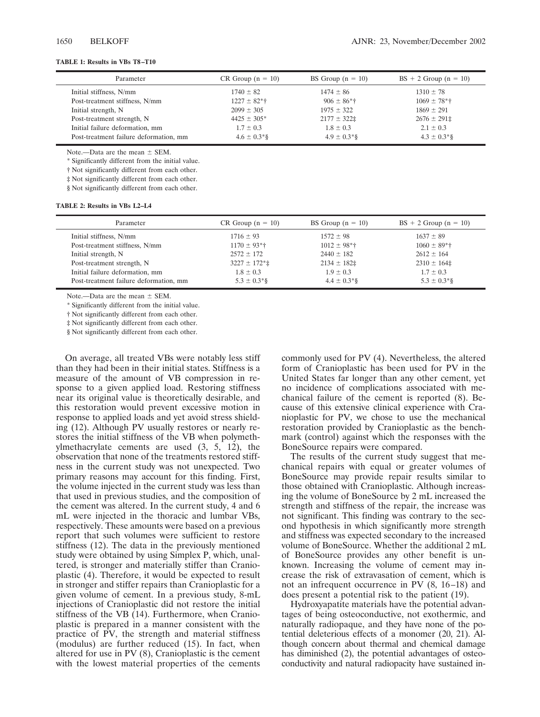# **TABLE 1: Results in VBs T8–T10**

| Parameter                              | $CR$ Group $(n = 10)$ | BS Group $(n = 10)$       | $BS + 2$ Group (n = 10)      |
|----------------------------------------|-----------------------|---------------------------|------------------------------|
| Initial stiffness, N/mm                | $1740 \pm 82$         | $1474 \pm 86$             | $1310 \pm 78$                |
| Post-treatment stiffness, N/mm         | $1227 \pm 82$ *†      | $906 \pm 86$ <sup>*</sup> | $1069 \pm 78$ <sup>*</sup> † |
| Initial strength, N                    | $2099 \pm 305$        | $1975 \pm 322$            | $1869 \pm 291$               |
| Post-treatment strength, N             | $4425 \pm 305^*$      | $2177 \pm 322$            | $2676 \pm 291$ ‡             |
| Initial failure deformation, mm        | $1.7 \pm 0.3$         | $1.8 \pm 0.3$             | $2.1 \pm 0.3$                |
| Post-treatment failure deformation, mm | $4.6 \pm 0.3*$ §      | $4.9 \pm 0.3$ *§          | $4.3 \pm 0.3$ <sup>*</sup> § |

Note.—Data are the mean  $\pm$  SEM.

\* Significantly different from the initial value.

† Not significantly different from each other.

‡ Not significantly different from each other.

§ Not significantly different from each other.

#### **TABLE 2: Results in VBs L2–L4**

| Parameter                              | $CR$ Group (n = 10)                  | BS Group $(n = 10)$          | $BS + 2$ Group (n = 10)      |
|----------------------------------------|--------------------------------------|------------------------------|------------------------------|
| Initial stiffness, N/mm                | $1716 \pm 93$                        | $1572 \pm 98$                | $1637 \pm 89$                |
| Post-treatment stiffness, N/mm         | $1170 \pm 93$ <sup>*</sup> $\dagger$ | $1012 \pm 98$ <sup>*</sup> † | $1060 \pm 89$ <sup>*</sup> † |
| Initial strength, N                    | $2572 \pm 172$                       | $2440 \pm 182$               | $2612 \pm 164$               |
| Post-treatment strength, N             | $3227 \pm 172$ *‡                    | $2134 \pm 182$               | $2310 \pm 164$               |
| Initial failure deformation, mm        | $1.8 \pm 0.3$                        | $1.9 \pm 0.3$                | $1.7 \pm 0.3$                |
| Post-treatment failure deformation, mm | $5.3 \pm 0.3$ <sup>*</sup> §         | $4.4 \pm 0.3$ *§             | $5.3 \pm 0.3$ <sup>*</sup> § |

Note  $-D$ ata are the mean  $+$  SEM.

\* Significantly different from the initial value.

† Not significantly different from each other.

‡ Not significantly different from each other.

§ Not significantly different from each other.

On average, all treated VBs were notably less stiff than they had been in their initial states. Stiffness is a measure of the amount of VB compression in response to a given applied load. Restoring stiffness near its original value is theoretically desirable, and this restoration would prevent excessive motion in response to applied loads and yet avoid stress shielding (12). Although PV usually restores or nearly restores the initial stiffness of the VB when polymethylmethacrylate cements are used (3, 5, 12), the observation that none of the treatments restored stiffness in the current study was not unexpected. Two primary reasons may account for this finding. First, the volume injected in the current study was less than that used in previous studies, and the composition of the cement was altered. In the current study, 4 and 6 mL were injected in the thoracic and lumbar VBs, respectively. These amounts were based on a previous report that such volumes were sufficient to restore stiffness (12). The data in the previously mentioned study were obtained by using Simplex P, which, unaltered, is stronger and materially stiffer than Cranioplastic (4). Therefore, it would be expected to result in stronger and stiffer repairs than Cranioplastic for a given volume of cement. In a previous study, 8-mL injections of Cranioplastic did not restore the initial stiffness of the VB  $(14)$ . Furthermore, when Cranioplastic is prepared in a manner consistent with the practice of PV, the strength and material stiffness (modulus) are further reduced (15). In fact, when altered for use in PV (8), Cranioplastic is the cement with the lowest material properties of the cements

commonly used for PV (4). Nevertheless, the altered form of Cranioplastic has been used for PV in the United States far longer than any other cement, yet no incidence of complications associated with mechanical failure of the cement is reported (8). Because of this extensive clinical experience with Cranioplastic for PV, we chose to use the mechanical restoration provided by Cranioplastic as the benchmark (control) against which the responses with the BoneSource repairs were compared.

The results of the current study suggest that mechanical repairs with equal or greater volumes of BoneSource may provide repair results similar to those obtained with Cranioplastic. Although increasing the volume of BoneSource by 2 mL increased the strength and stiffness of the repair, the increase was not significant. This finding was contrary to the second hypothesis in which significantly more strength and stiffness was expected secondary to the increased volume of BoneSource. Whether the additional 2 mL of BoneSource provides any other benefit is unknown. Increasing the volume of cement may increase the risk of extravasation of cement, which is not an infrequent occurrence in PV (8, 16–18) and does present a potential risk to the patient (19).

Hydroxyapatite materials have the potential advantages of being osteoconductive, not exothermic, and naturally radiopaque, and they have none of the potential deleterious effects of a monomer (20, 21). Although concern about thermal and chemical damage has diminished (2), the potential advantages of osteoconductivity and natural radiopacity have sustained in-